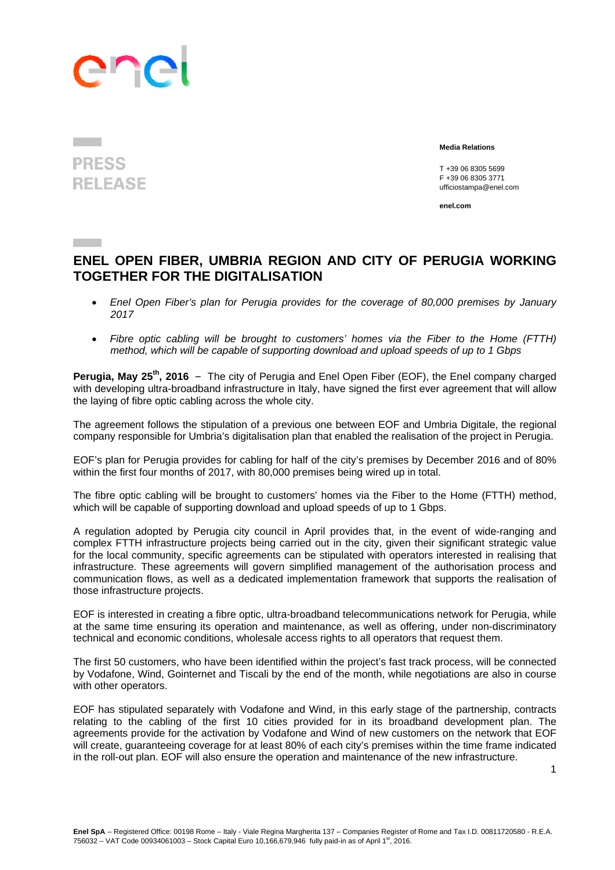## ene

## **PRESS RELEASE**

 **Media Relations** 

 T +39 06 8305 5699 F +39 06 8305 3771 ufficiostampa@enel.com

**enel.com**

## **ENEL OPEN FIBER, UMBRIA REGION AND CITY OF PERUGIA WORKING TOGETHER FOR THE DIGITALISATION**

- *Enel Open Fiber's plan for Perugia provides for the coverage of 80,000 premises by January 2017*
- *Fibre optic cabling will be brought to customers' homes via the Fiber to the Home (FTTH) method, which will be capable of supporting download and upload speeds of up to 1 Gbps*

**Perugia, May 25<sup>th</sup>, 2016** - The city of Perugia and Enel Open Fiber (EOF), the Enel company charged with developing ultra-broadband infrastructure in Italy, have signed the first ever agreement that will allow the laying of fibre optic cabling across the whole city.

The agreement follows the stipulation of a previous one between EOF and Umbria Digitale, the regional company responsible for Umbria's digitalisation plan that enabled the realisation of the project in Perugia.

EOF's plan for Perugia provides for cabling for half of the city's premises by December 2016 and of 80% within the first four months of 2017, with 80,000 premises being wired up in total.

The fibre optic cabling will be brought to customers' homes via the Fiber to the Home (FTTH) method, which will be capable of supporting download and upload speeds of up to 1 Gbps.

A regulation adopted by Perugia city council in April provides that, in the event of wide-ranging and complex FTTH infrastructure projects being carried out in the city, given their significant strategic value for the local community, specific agreements can be stipulated with operators interested in realising that infrastructure. These agreements will govern simplified management of the authorisation process and communication flows, as well as a dedicated implementation framework that supports the realisation of those infrastructure projects.

EOF is interested in creating a fibre optic, ultra-broadband telecommunications network for Perugia, while at the same time ensuring its operation and maintenance, as well as offering, under non-discriminatory technical and economic conditions, wholesale access rights to all operators that request them.

The first 50 customers, who have been identified within the project's fast track process, will be connected by Vodafone, Wind, Gointernet and Tiscali by the end of the month, while negotiations are also in course with other operators.

EOF has stipulated separately with Vodafone and Wind, in this early stage of the partnership, contracts relating to the cabling of the first 10 cities provided for in its broadband development plan. The agreements provide for the activation by Vodafone and Wind of new customers on the network that EOF will create, guaranteeing coverage for at least 80% of each city's premises within the time frame indicated in the roll-out plan. EOF will also ensure the operation and maintenance of the new infrastructure.

1